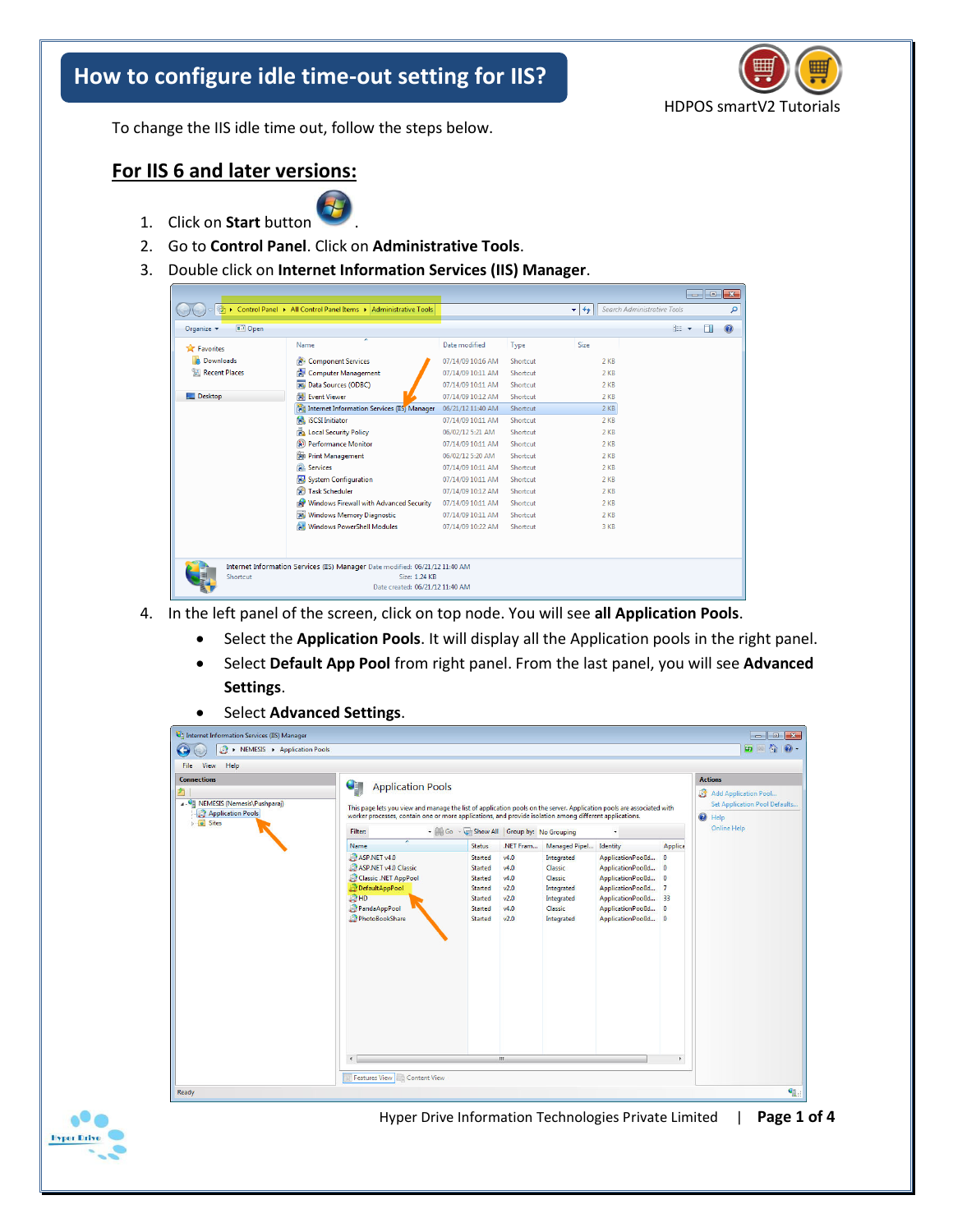## **How to configure idle time-out setting for IIS?**



To change the IIS idle time out, follow the steps below.

## **For IIS 6 and later versions:**



- 2. Go to **Control Panel**. Click on **Administrative Tools**.
- 3. Double click on **Internet Information Services (IIS) Manager**.

| 微                         | > Control Panel > All Control Panel Items > Administrative Tools                                                                 |                   |                 | $+$<br>$\mathbf{v}$ | Search Administrative Tools | م              |
|---------------------------|----------------------------------------------------------------------------------------------------------------------------------|-------------------|-----------------|---------------------|-----------------------------|----------------|
| $\Box$ Open<br>Organize v |                                                                                                                                  |                   |                 |                     | 888 -                       | $\circledcirc$ |
| <b>X</b> Favorites        | Name                                                                                                                             | Date modified     | Type            | Size                |                             |                |
| <b>Downloads</b>          | <b>Re</b> Component Services                                                                                                     | 07/14/09 10:16 AM | Shortcut        | $2$ KB              |                             |                |
| Recent Places             | Computer Management                                                                                                              | 07/14/09 10:11 AM | Shortcut        | 2 KB                |                             |                |
|                           | <b>THE Data Sources (ODBC)</b>                                                                                                   | 07/14/09 10:11 AM | Shortcut        | 2 KB                |                             |                |
| Desktop                   | <b>NE</b> Event Viewer                                                                                                           | 07/14/09 10:12 AM | Shortcut        | $2$ KB              |                             |                |
|                           | <b>Fourthernet Information Services (IIS) Manager</b>                                                                            | 06/21/12 11:40 AM | <b>Shortcut</b> | $2$ KB              |                             |                |
|                           | isCSI Initiator                                                                                                                  | 07/14/09 10:11 AM | Shortcut        | 2 KB                |                             |                |
|                           | <b>Ra</b> Local Security Policy                                                                                                  | 06/02/12 5:21 AM  | Shortcut        | $2$ KB              |                             |                |
|                           | Performance Monitor                                                                                                              | 07/14/09 10:11 AM | Shortcut        | $2$ KB              |                             |                |
|                           | Print Management                                                                                                                 | 06/02/12 5:20 AM  | Shortcut        | 2 K                 |                             |                |
|                           | <b>Services</b>                                                                                                                  | 07/14/09 10:11 AM | Shortcut        | 2 KB                |                             |                |
|                           | System Configuration                                                                                                             | 07/14/09 10:11 AM | Shortcut        | 2 KB                |                             |                |
|                           | 鱼<br><b>Task Scheduler</b>                                                                                                       | 07/14/09 10:12 AM | Shortcut        | $2$ KB              |                             |                |
|                           | <b>RP</b> Windows Firewall with Advanced Security                                                                                | 07/14/09 10:11 AM | Shortcut        | 2 K                 |                             |                |
|                           | <b>AN Windows Memory Diagnostic</b>                                                                                              | 07/14/09 10:11 AM | Shortcut        | 2 KB                |                             |                |
|                           | <b>FR</b> Windows PowerShell Modules                                                                                             | 07/14/09 10:22 AM | Shortcut        | 3 KB                |                             |                |
|                           |                                                                                                                                  |                   |                 |                     |                             |                |
|                           |                                                                                                                                  |                   |                 |                     |                             |                |
| Shortcut                  | Internet Information Services (IIS) Manager Date modified: 06/21/12 11:40 AM<br>Size: 1.24 KB<br>Date created: 06/21/12 11:40 AM |                   |                 |                     |                             |                |

- 4. In the left panel of the screen, click on top node. You will see **all Application Pools**.
	- Select the **Application Pools**. It will display all the Application pools in the right panel.
	- Select **Default App Pool** from right panel. From the last panel, you will see **Advanced Settings**.
	- Select **Advanced Settings**.

| <b>Connections</b><br>9<br><b>Application Pools</b><br>4 G NEMESIS (Nemesis\Pushparaj)<br><b>Application Pools</b>                                                                  | This page lets you view and manage the list of application pools on the server. Application pools are associated with<br>worker processes, contain one or more applications, and provide isolation among different applications. |                                                                              |                                                                                       |                                                                                                                                                                |         | <b>Actions</b><br>Add Application Pool<br>Set Application Pool Defaults<br><sup>O</sup> Help |
|-------------------------------------------------------------------------------------------------------------------------------------------------------------------------------------|----------------------------------------------------------------------------------------------------------------------------------------------------------------------------------------------------------------------------------|------------------------------------------------------------------------------|---------------------------------------------------------------------------------------|----------------------------------------------------------------------------------------------------------------------------------------------------------------|---------|----------------------------------------------------------------------------------------------|
| <b>D</b> Sites<br>Filter:<br><b>Name</b>                                                                                                                                            | <b>Status</b>                                                                                                                                                                                                                    | - Go - Chow All Group by: No Grouping<br>.NET Fram<br>Managed Pipel Identity |                                                                                       |                                                                                                                                                                | Applica | <b>Online Help</b>                                                                           |
| ASP.NET v4.0<br>ASP.NET v4.0 Classic<br>Classic .NET AppPool<br>DefaultAppPool<br><b>IO HD</b><br>PandaAppPool<br>PhotoBookShare<br>$\epsilon$<br><b>Features View Content View</b> | Started<br>Started<br>Started<br>Started<br>Started<br>Started<br><b>Started</b>                                                                                                                                                 | v4.0<br>v4.0<br>v4.0<br>v2.0<br>v2.0<br>v4.0<br>v2.0<br>m                    | Integrated<br>Classic<br>Classic<br>Integrated<br>Integrated<br>Classic<br>Integrated | ApplicationPoolId 0<br>ApplicationPoolId 0<br>ApplicationPoolId 0<br>ApplicationPoolId 7<br>ApplicationPoolId 33<br>ApplicationPoolId 0<br>ApplicationPoolId 0 | b.      |                                                                                              |



Hyper Drive Information Technologies Private Limited | **Page 1 of 4**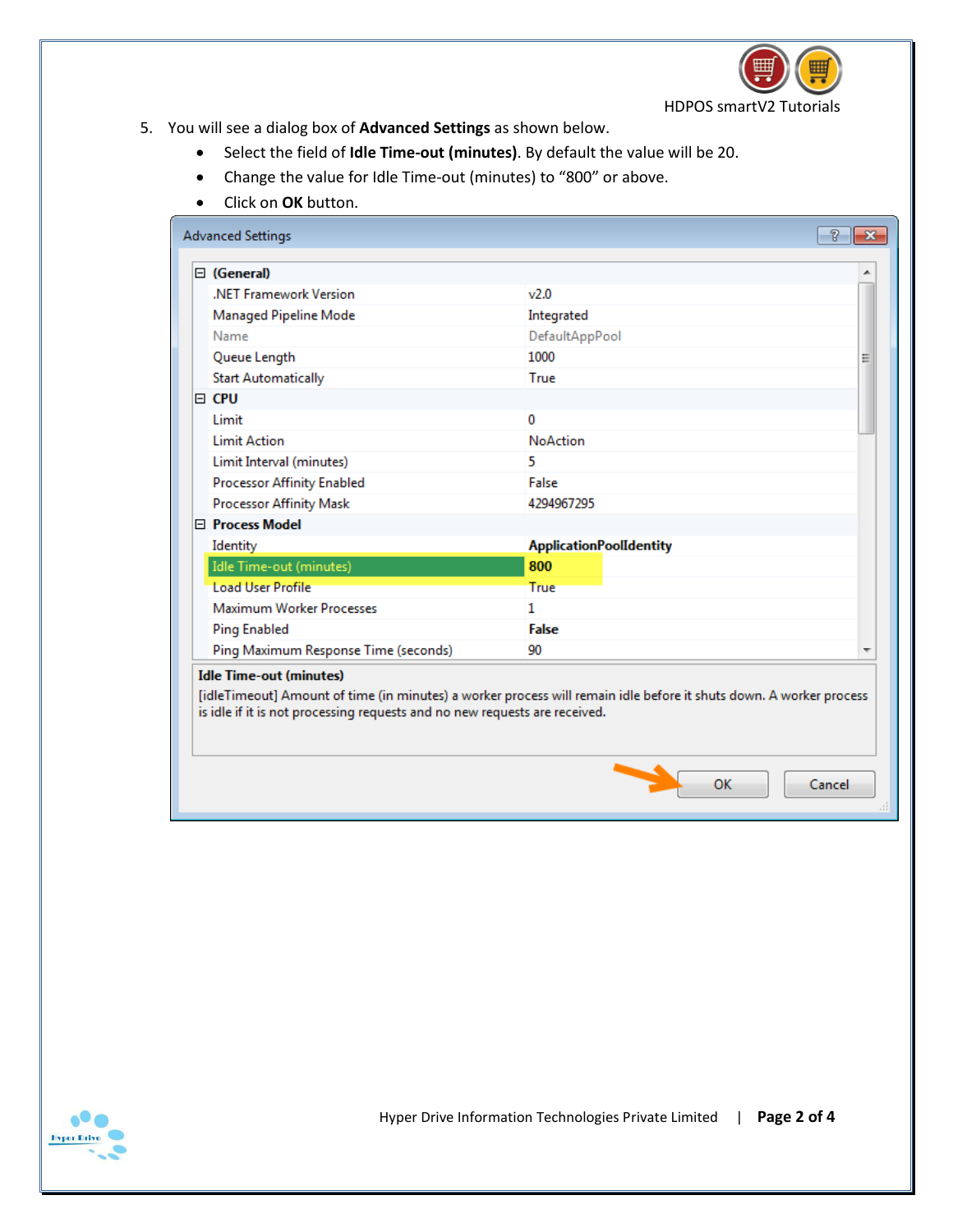

- 5. You will see a dialog box of **Advanced Settings** as shown below.
	- Select the field of **Idle Time-out (minutes)**. By default the value will be 20.
	- Change the value for Idle Time-out (minutes) to "800" or above.
	- Click on **OK** button.

| <b>Advanced Settings</b>             |                                | ท<br>$\mathbf{x}$ |
|--------------------------------------|--------------------------------|-------------------|
| $\Box$ (General)                     |                                | ▲                 |
| .NET Framework Version               | v2.0                           |                   |
| Managed Pipeline Mode                | Integrated                     |                   |
| Name                                 | DefaultAppPool                 |                   |
| Queue Length                         | 1000                           | Ξ                 |
| <b>Start Automatically</b>           | True                           |                   |
| e CPU                                |                                |                   |
| Limit                                | 0                              |                   |
| <b>Limit Action</b>                  | <b>NoAction</b>                |                   |
| Limit Interval (minutes)             | 5                              |                   |
| <b>Processor Affinity Enabled</b>    | False                          |                   |
| <b>Processor Affinity Mask</b>       | 4294967295                     |                   |
| □ Process Model                      |                                |                   |
| Identity                             | <b>ApplicationPoolIdentity</b> |                   |
| Idle Time-out (minutes)              | 800                            |                   |
| <b>Load User Profile</b>             | True                           |                   |
| <b>Maximum Worker Processes</b>      | 1                              |                   |
| <b>Ping Enabled</b>                  | False                          |                   |
| Ping Maximum Response Time (seconds) | 90                             | ┯                 |

## **Idle Time-out (minutes)**

[idleTimeout] Amount of time (in minutes) a worker process will remain idle before it shuts down. A worker process is idle if it is not processing requests and no new requests are received.



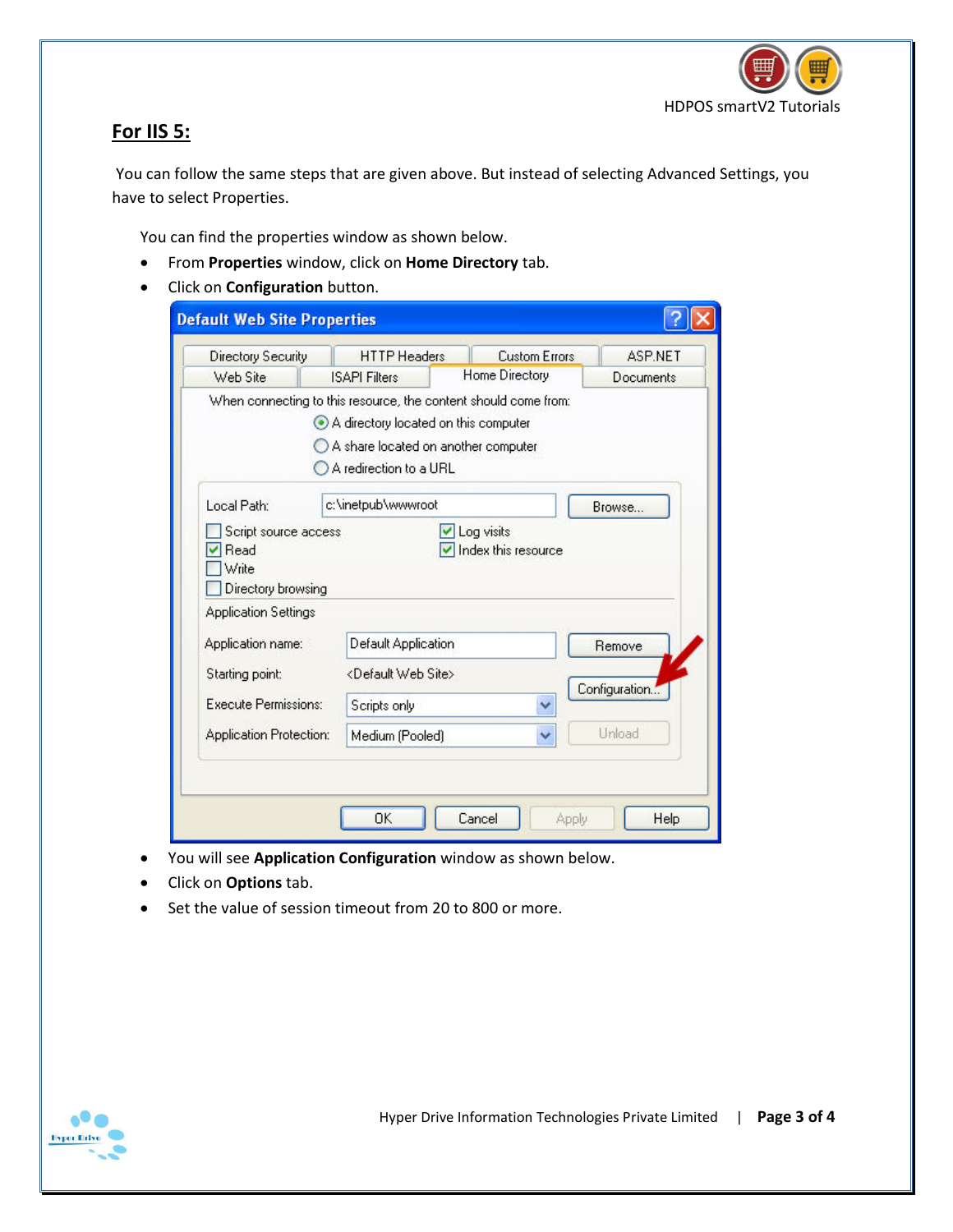

## **For IIS 5:**

 You can follow the same steps that are given above. But instead of selecting Advanced Settings, you have to select Properties.

You can find the properties window as shown below.

- From **Properties** window, click on **Home Directory** tab.
- Click on **Configuration** button.

| Directory Security                               | <b>HTTP Headers</b>                                                                                                                                                      | <b>Custom Errors</b> | <b>ASP.NET</b>   |
|--------------------------------------------------|--------------------------------------------------------------------------------------------------------------------------------------------------------------------------|----------------------|------------------|
| Web Site                                         | <b>ISAPI Filters</b>                                                                                                                                                     | Home Directory       | <b>Documents</b> |
|                                                  | When connecting to this resource, the content should come from:<br>A directory located on this computer<br>A share located on another computer<br>A redirection to a URL |                      |                  |
| Local Path:                                      | c:\inetpub\wwwroot                                                                                                                                                       |                      | Browse           |
| Write<br>Directory browsing                      |                                                                                                                                                                          | Index this resource  |                  |
| <b>Application Settings</b><br>Application name: | Default Application                                                                                                                                                      |                      | Remove           |
| Starting point:                                  | <default site="" web=""></default>                                                                                                                                       |                      |                  |
| Execute Permissions:                             | Scripts only                                                                                                                                                             | v                    | Configuration    |
| Application Protection:                          | Medium (Pooled)                                                                                                                                                          |                      | Unload           |

- You will see **Application Configuration** window as shown below.
- Click on **Options** tab.
- Set the value of session timeout from 20 to 800 or more.